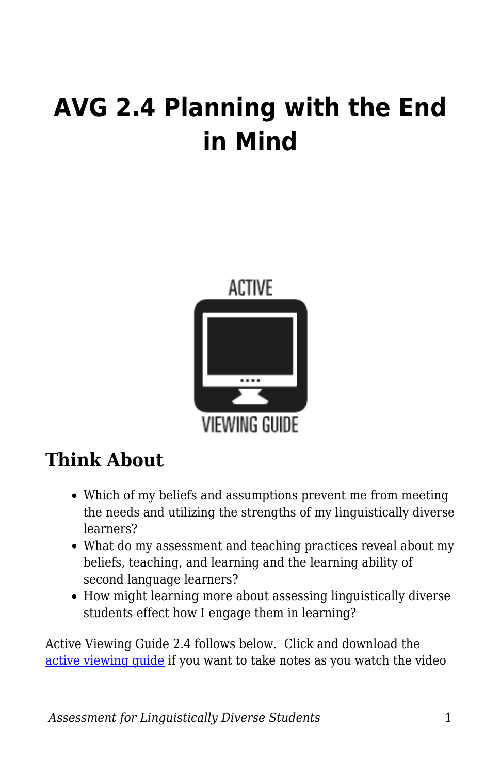# **AVG 2.4 Planning with the End in Mind**



## **Think About**

- Which of my beliefs and assumptions prevent me from meeting the needs and utilizing the strengths of my linguistically diverse learners?
- What do my assessment and teaching practices reveal about my beliefs, teaching, and learning and the learning ability of second language learners?
- How might learning more about assessing linguistically diverse students effect how I engage them in learning?

Active Viewing Guide 2.4 follows below. Click and download the [active viewing guide](https://byu.box.com/s/zl7m2aiu9dym22hdqyn1473pf8gefpds) if you want to take notes as you watch the video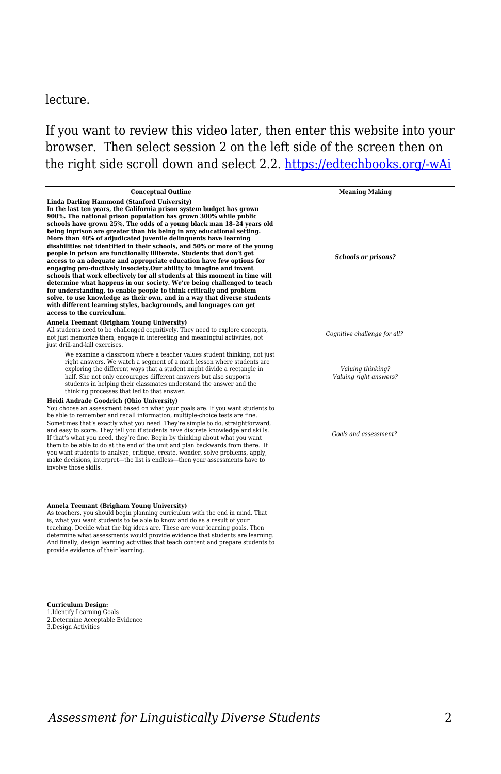## lecture.

If you want to review this video later, then enter this website into your browser. Then select session 2 on the left side of the screen then on the right side scroll down and select 2.2. [https://edtechbooks.org/-wAi](https://education.byu.edu/tellvideolibrary/diverseStudents)

| <b>Conceptual Outline</b>                                                                                                                                                                                                                                                                                                                                                                                                                                                                                                                                                                                                                                                                                                                                                                                                                                                                                                                                                                                                                                                                                                        | <b>Meaning Making</b>                       |
|----------------------------------------------------------------------------------------------------------------------------------------------------------------------------------------------------------------------------------------------------------------------------------------------------------------------------------------------------------------------------------------------------------------------------------------------------------------------------------------------------------------------------------------------------------------------------------------------------------------------------------------------------------------------------------------------------------------------------------------------------------------------------------------------------------------------------------------------------------------------------------------------------------------------------------------------------------------------------------------------------------------------------------------------------------------------------------------------------------------------------------|---------------------------------------------|
| Linda Darling Hammond (Stanford University)<br>In the last ten years, the California prison system budget has grown<br>900%. The national prison population has grown 300% while public<br>schools have grown 25%. The odds of a young black man 18-24 years old<br>being inprison are greater than his being in any educational setting.<br>More than 40% of adjudicated juvenile delinguents have learning<br>disabilities not identified in their schools, and 50% or more of the young<br>people in prison are functionally illiterate. Students that don't get<br>access to an adequate and appropriate education have few options for<br>engaging pro-ductively insociety. Our ability to imagine and invent<br>schools that work effectively for all students at this moment in time will<br>determine what happens in our society. We're being challenged to teach<br>for understanding, to enable people to think critically and problem<br>solve, to use knowledge as their own, and in a way that diverse students<br>with different learning styles, backgrounds, and languages can get<br>access to the curriculum. | <b>Schools or prisons?</b>                  |
| Annela Teemant (Brigham Young University)<br>All students need to be challenged cognitively. They need to explore concepts,<br>not just memorize them, engage in interesting and meaningful activities, not<br>just drill-and-kill exercises.                                                                                                                                                                                                                                                                                                                                                                                                                                                                                                                                                                                                                                                                                                                                                                                                                                                                                    | Cognitive challenge for all?                |
| We examine a classroom where a teacher values student thinking, not just<br>right answers. We watch a segment of a math lesson where students are<br>exploring the different ways that a student might divide a rectangle in<br>half. She not only encourages different answers but also supports<br>students in helping their classmates understand the answer and the<br>thinking processes that led to that answer.                                                                                                                                                                                                                                                                                                                                                                                                                                                                                                                                                                                                                                                                                                           | Valuing thinking?<br>Valuing right answers? |
| Heidi Andrade Goodrich (Ohio University)<br>You choose an assessment based on what your goals are. If you want students to<br>be able to remember and recall information, multiple-choice tests are fine.<br>Sometimes that's exactly what you need. They're simple to do, straightforward,<br>and easy to score. They tell you if students have discrete knowledge and skills.<br>If that's what you need, they're fine. Begin by thinking about what you want<br>them to be able to do at the end of the unit and plan backwards from there. If<br>you want students to analyze, critique, create, wonder, solve problems, apply,<br>make decisions, interpret—the list is endless—then your assessments have to<br>involve those skills.                                                                                                                                                                                                                                                                                                                                                                                      | Goals and assessment?                       |
| Annela Teemant (Brigham Young University)<br>As teachers, you should begin planning curriculum with the end in mind. That<br>is, what you want students to be able to know and do as a result of your<br>teaching. Decide what the big ideas are. These are your learning goals. Then<br>determine what assessments would provide evidence that students are learning.<br>And finally, design learning activities that teach content and prepare students to<br>provide evidence of their learning.                                                                                                                                                                                                                                                                                                                                                                                                                                                                                                                                                                                                                              |                                             |
| <b>Curriculum Design:</b><br>1 Identify Learning Goals                                                                                                                                                                                                                                                                                                                                                                                                                                                                                                                                                                                                                                                                                                                                                                                                                                                                                                                                                                                                                                                                           |                                             |

1.Identify Learning Goals 2.Determine Acceptable Evidence 3.Design Activities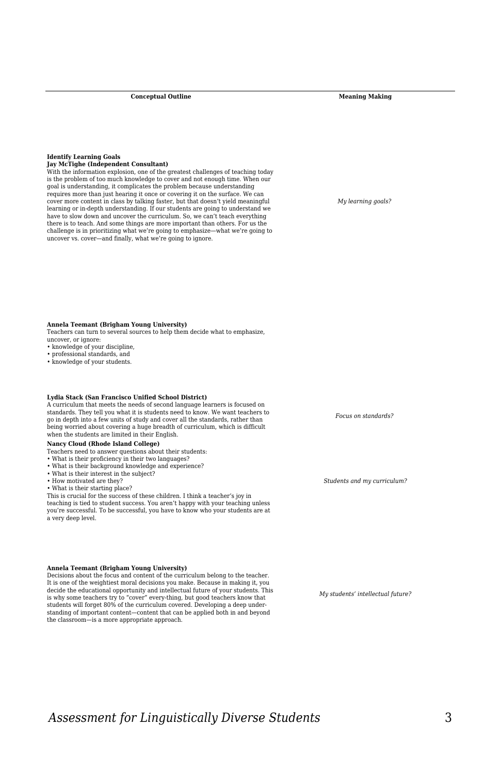**Conceptual Outline Meaning Making** 

### **Identify Learning Goals**

**Jay McTighe (Independent Consultant)**<br>With the information explosion, one of the greatest challenges of teaching today<br>is the problem of too much knowledge to cover and not enough time. When our goal is understanding, it complicates the problem because understanding requires more than just hearing it once or covering it on the surface. We can cover more content in class by talking faster, but that doesn't yield meaningful learning or in-depth understanding. If our students are going to understand we have to slow down and uncover the curriculum. So, we can't teach everything there is to teach. And some things are more important than others. For us the challenge is in prioritizing what we're going to emphasize—what we're going to uncover vs. cover—and finally, what we're going to ignore.

*My learning goals?* 

**Annela Teemant (Brigham Young University)**

Teachers can turn to several sources to help them decide what to emphasize,

uncover, or ignore:

• knowledge of your discipline,

• professional standards, and

• knowledge of your students.

#### **Lydia Stack (San Francisco Unified School District)**

A curriculum that meets the needs of second language learners is focused on standards. They tell you what it is students need to know. We want teachers to go in depth into a few units of study and cover all the standards, rather than being worried about covering a huge breadth of curriculum, which is difficult when the students are limited in their English.

#### **Nancy Cloud (Rhode Island College)**

- Teachers need to answer questions about their students:
- What is their proficiency in their two languages?
- What is their background knowledge and experience?
- What is their interest in the subject? • How motivated are they?

• What is their starting place?

This is crucial for the success of these children. I think a teacher's joy in teaching is tied to student success. You aren't happy with your teaching unless you're successful. To be successful, you have to know who your students are at .<br>a very deen level.

#### **Annela Teemant (Brigham Young University)**

Decisions about the focus and content of the curriculum belong to the teacher. It is one of the weightiest moral decisions you make. Because in making it, you decide the educational opportunity and intellectual future of your students. This is why some teachers try to "cover" every-thing, but good teachers know that students will forget 80% of the curriculum covered. Developing a deep understanding of important content—content that can be applied both in and beyond the classroom—is a more appropriate approach.

*Focus on standards?* 

*Students and my curriculum?* 

*My students' intellectual future?*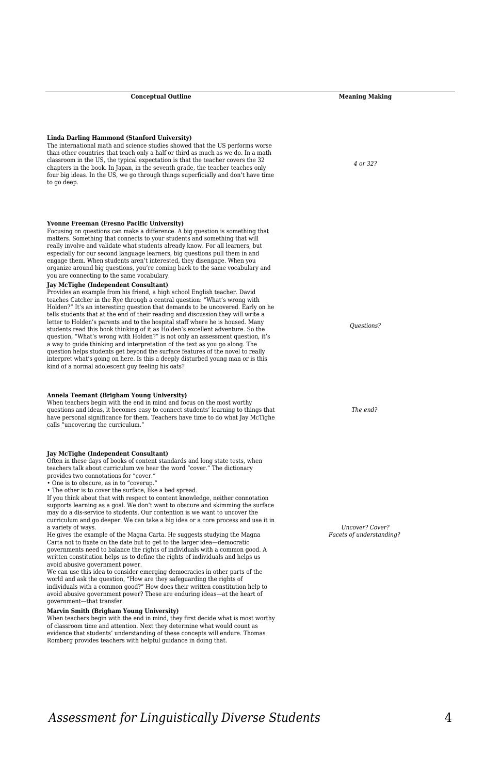#### **Linda Darling Hammond (Stanford University)**

The international math and science studies showed that the US performs worse than other countries that teach only a half or third as much as we do. In a math classroom in the US, the typical expectation is that the teacher covers the 32 chapters in the book. In Japan, in the seventh grade, the teacher teaches only four big ideas. In the US, we go through things superficially and don't have time to go deep.

#### **Yvonne Freeman (Fresno Pacific University)**

Focusing on questions can make a difference. A big question is something that matters. Something that connects to your students and something that will really involve and validate what students already know. For all learners, but especially for our second language learners, big questions pull them in and engage them. When students aren't interested, they disengage. When you organize around big questions, you're coming back to the same vocabulary and you are connecting to the same vocabulary.

#### **Jay McTighe (Independent Consultant)**

Provides an example from his friend, a high school English teacher. David teaches Catcher in the Rye through a central question: "What's wrong with Holden?" It's an interesting question that demands to be uncovered. Early on he tells students that at the end of their reading and discussion they will write a letter to Holden's parents and to the hospital staff where he is housed. Many students read this book thinking of it as Holden's excellent adventure. So the question, "What's wrong with Holden?" is not only an assessment question, it's a way to guide thinking and interpretation of the text as you go along. The question helps students get beyond the surface features of the novel to really interpret what's going on here. Is this a deeply disturbed young man or is this kind of a normal adolescent guy feeling his oats?

#### **Annela Teemant (Brigham Young University)**

When teachers begin with the end in mind and focus on the most worthy questions and ideas, it becomes easy to connect students' learning to things that have personal significance for them. Teachers have time to do what Jay McTighe calls "uncovering the curriculum."

**Jay McTighe (Independent Consultant)** Often in these days of books of content standards and long state tests, when teachers talk about curriculum we hear the word "cover." The dictionary provides two connotations for "cover."

• One is to obscure, as in to "coverup.

• The other is to cover the surface, like a bed spread.

If you think about that with respect to content knowledge, neither connotation supports learning as a goal. We don't want to obscure and skimming the surface may do a dis-service to students. Our contention is we want to uncover the curriculum and go deeper. We can take a big idea or a core process and use it in a variety of ways.

He gives the example of the Magna Carta. He suggests studying the Magna Carta not to fixate on the date but to get to the larger idea—democratic governments need to balance the rights of individuals with a common good. A written constitution helps us to define the rights of individuals and helps us avoid abusive government power.

We can use this idea to consider emerging democracies in other parts of the world and ask the question, "How are they safeguarding the rights of individuals with a common good?" How does their written constitution help to avoid abusive government power? These are enduring ideas—at the heart of government—that transfer.

#### **Marvin Smith (Brigham Young University)**

When teachers begin with the end in mind, they first decide what is most worthy of classroom time and attention. Next they determine what would count as evidence that students' understanding of these concepts will endure. Thomas Romberg provides teachers with helpful guidance in doing that.

*4 or 32?*

*Questions?*

*The end?* 

*Uncover? Cover? Facets of understanding?*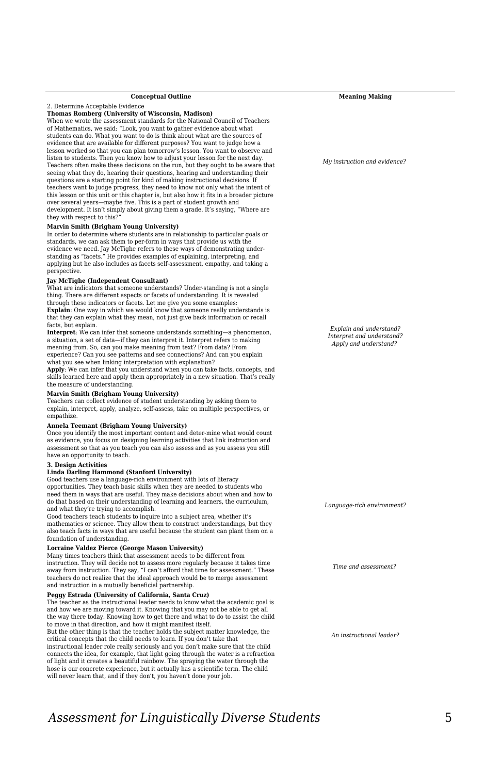#### **Conceptual Outline Meaning Making**

2. Determine Acceptable Evidence

**Thomas Romberg (University of Wisconsin, Madison)**

When we wrote the assessment standards for the National Council of Teachers of Mathematics, we said: "Look, you want to gather evidence about what students can do. What you want to do is think about what are the sources of evidence that are available for different purposes? You want to judge how a lesson worked so that you can plan tomorrow's lesson. You want to observe and listen to students. Then you know how to adjust your lesson for the next day. Teachers often make these decisions on the run, but they ought to be aware that seeing what they do, hearing their questions, hearing and understanding their questions are a starting point for kind of making instructional decisions. If teachers want to judge progress, they need to know not only what the intent of this lesson or this unit or this chapter is, but also how it fits in a broader picture over several years—maybe five. This is a part of student growth and development. It isn't simply about giving them a grade. It's saying, "Where are they with respect to this?"

#### **Marvin Smith (Brigham Young University)**

In order to determine where students are in relationship to particular goals or standards, we can ask them to per-form in ways that provide us with the evidence we need. Jay McTighe refers to these ways of demonstrating under-<br>standing as "facets." He provides examples of explaining, interpreting, and<br>applying but he also includes as facets self-assessment, empathy, and t perspective.

#### **Jay McTighe (Independent Consultant)**

What are indicators that someone understands? Under-standing is not a single thing. There are different aspects or facets of understanding. It is revealed through these indicators or facets. Let me give you some examples: **Explain**: One way in which we would know that someone really understands is that they can explain what they mean, not just give back information or recall facts, but explain.

**Interpret**: We can infer that someone understands something—a phenomenon, a situation, a set of data—if they can interpret it. Interpret refers to making meaning from. So, can you make meaning from text? From data? From experience? Can you see patterns and see connections? And can you explain what you see when linking interpretation with explanation? **Apply**: We can infer that you understand when you can take facts, concepts, and

skills learned here and apply them appropriately in a new situation. That's really the measure of understanding.

**Marvin Smith (Brigham Young University)** Teachers can collect evidence of student understanding by asking them to explain, interpret, apply, analyze, self-assess, take on multiple perspectives, or empathize.

## **Annela Teemant (Brigham Young University)**

Once you identify the most important content and deter-mine what would count as evidence, you focus on designing learning activities that link instruction and assessment so that as you teach you can also assess and as you assess you still have an opportunity to teach.

## **3. Design Activities**

#### **Linda Darling Hammond (Stanford University)**

Good teachers use a language-rich environment with lots of literacy opportunities. They teach basic skills when they are needed to students who need them in ways that are useful. They make decisions about when and how to do that based on their understanding of learning and learners, the curriculum, and what they're trying to accomplish.

Good teachers teach students to inquire into a subject area, whether it's mathematics or science. They allow them to construct understandings, but they also teach facts in ways that are useful because the student can plant them on a foundation of understanding.

## **Lorraine Valdez Pierce (George Mason University)**

Many times teachers think that assessment needs to be different from instruction. They will decide not to assess more regularly because it takes time away from instruction. They say, "I can't afford that time for assessment." These teachers do not realize that the ideal approach would be to merge assessment and instruction in a mutually beneficial partnership.

## **Peggy Estrada (University of California, Santa Cruz)**

The teacher as the instructional leader needs to know what the academic goal is and how we are moving toward it. Knowing that you may not be able to get all the way there today. Knowing how to get there and what to do to assist the child to move in that direction, and how it might manifest itself.

But the other thing is that the teacher holds the subject matter knowledge, the critical concepts that the child needs to learn. If you don't take that instructional leader role really seriously and you don't make sure that the child connects the idea, for example, that light going through the water is a refraction of light and it creates a beautiful rainbow. The spraying the water through the hose is our concrete experience, but it actually has a scientific term. The child will never learn that, and if they don't, you haven't done your job.

*My instruction and evidence?* 

*Explain and understand? Interpret and understand? Apply and understand?* 

*Language-rich environment?*

*Time and assessment?* 

*An instructional leader?*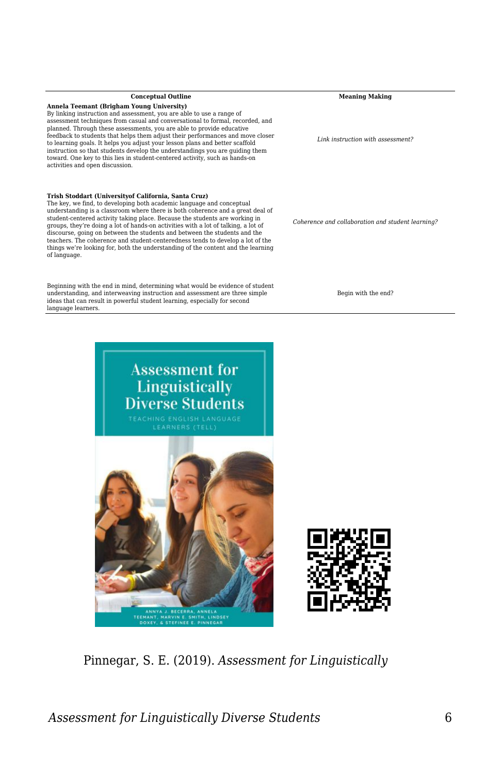**Annela Teemant (Brigham Young University)** By linking instruction and assessment, you are able to use a range of assessment techniques from casual and conversational to formal, recorded, and planned. Through these assessments, you are able to provide educative feedback to students that helps them adjust their performances and move closer<br>to learning goals. It helps you adjust your lesson plans and better scaffold<br>instruction so that students develop the understandings you are gu toward. One key to this lies in student-centered activity, such as hands-on activities and open discussion.

#### **Trish Stoddart (Universityof California, Santa Cruz)**

The key, we find, to developing both academic language and conceptual understanding is a classroom where there is both coherence and a great deal of student-centered activity taking place. Because the students are working in groups, they're doing a lot of hands-on activities with a lot of talking, a lot of discourse, going on between the students and between the students and the teachers. The coherence and student-centeredness tends to develop a lot of the things we're looking for, both the understanding of the content and the learning of language.

Beginning with the end in mind, determining what would be evidence of student understanding, and interweaving instruction and assessment are three simple ideas that can result in powerful student learning, especially for second language learners.

**Conceptual Outline Meaning Making** 

*Link instruction with assessment?*

*Coherence and collaboration and student learning?*

Begin with the end?



Pinnegar, S. E. (2019). *Assessment for Linguistically*